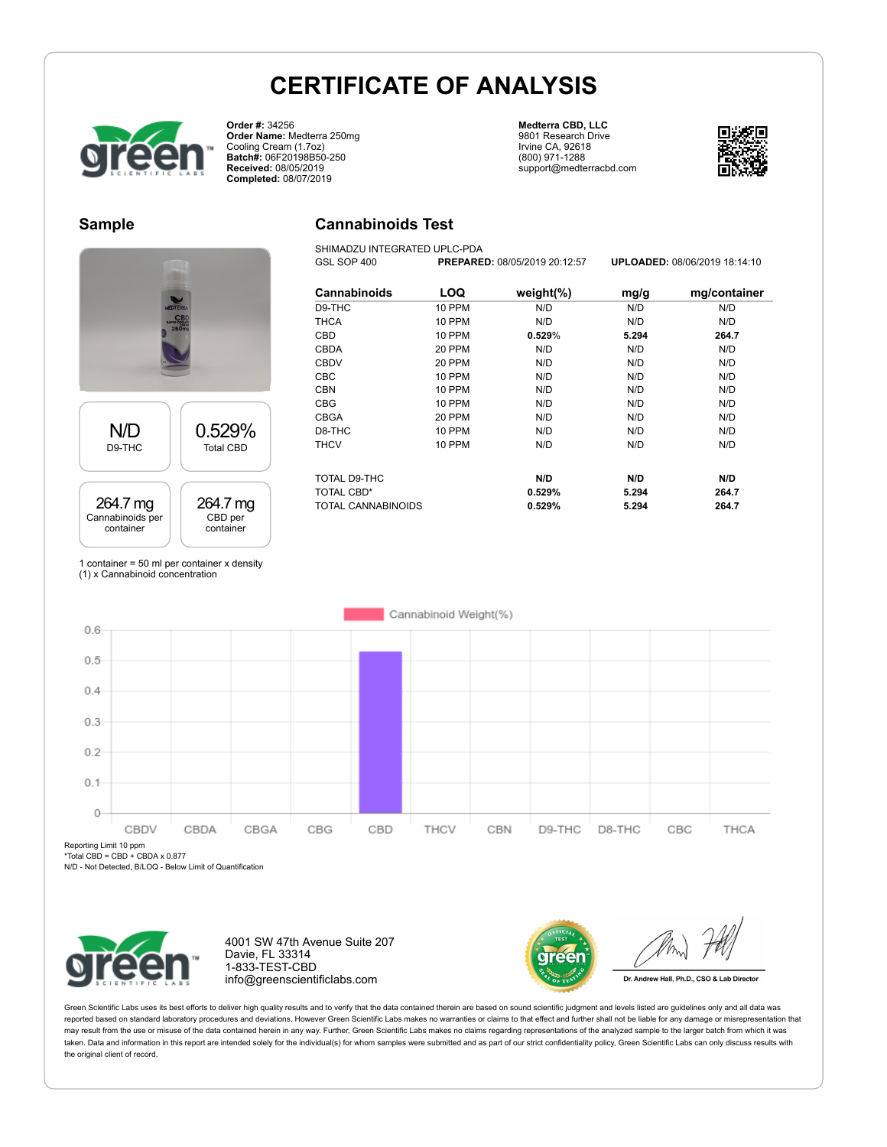**Cannabinoids Test** SHIMADZU INTEGRATED UPLC-PDA



**Order #:** 34256 **Order Name:** Medterra 250mg Cooling Cream (1.7oz) **Batch#:** 06F20198B50-250 **Received:** 08/05/2019 **Completed:** 08/07/2019

#### **Medterra CBD, LLC** 9801 Research Drive Irvine CA, 92618 (800) 971-1288 support@medterracbd.com



#### **Sample**



### 264.7 mg Cannabinoids per container

264.7 mg CBD per container

| <b>Cannabinoids</b> | LOQ    | weight $(\%)$ | mg/g  | mg/container |
|---------------------|--------|---------------|-------|--------------|
| D9-THC              | 10 PPM | N/D           | N/D   | N/D          |
|                     |        |               |       |              |
| <b>THCA</b>         | 10 PPM | N/D           | N/D   | N/D          |
| CBD                 | 10 PPM | 0.529%        | 5.294 | 264.7        |
| <b>CBDA</b>         | 20 PPM | N/D           | N/D   | N/D          |
| <b>CBDV</b>         | 20 PPM | N/D           | N/D   | N/D          |
| <b>CBC</b>          | 10 PPM | N/D           | N/D   | N/D          |
| <b>CBN</b>          | 10 PPM | N/D           | N/D   | N/D          |
| <b>CBG</b>          | 10 PPM | N/D           | N/D   | N/D          |
| <b>CBGA</b>         | 20 PPM | N/D           | N/D   | N/D          |
| D8-THC              | 10 PPM | N/D           | N/D   | N/D          |
| <b>THCV</b>         | 10 PPM | N/D           | N/D   | N/D          |
| TOTAL D9-THC        |        | N/D           | N/D   | N/D          |
| TOTAL CBD*          |        | 0.529%        | 5.294 | 264.7        |
| TOTAL CANNABINOIDS  |        | 0.529%        | 5.294 | 264.7        |

GSL SOP 400 **PREPARED:** 08/05/2019 20:12:57 **UPLOADED:** 08/06/2019 18:14:10

1 container = 50 ml per container x density (1) x Cannabinoid concentration



Reporting Limit 10 ppm

\*Total CBD = CBD + CBDA x 0.877

N/D - Not Detected, B/LOQ - Below Limit of Quantification



4001 SW 47th Avenue Suite 207 Davie, FL 33314 1-833-TEST-CBD info@greenscientificlabs.com



Dr. Andrew Hall, Ph.D., CSO & Lab Director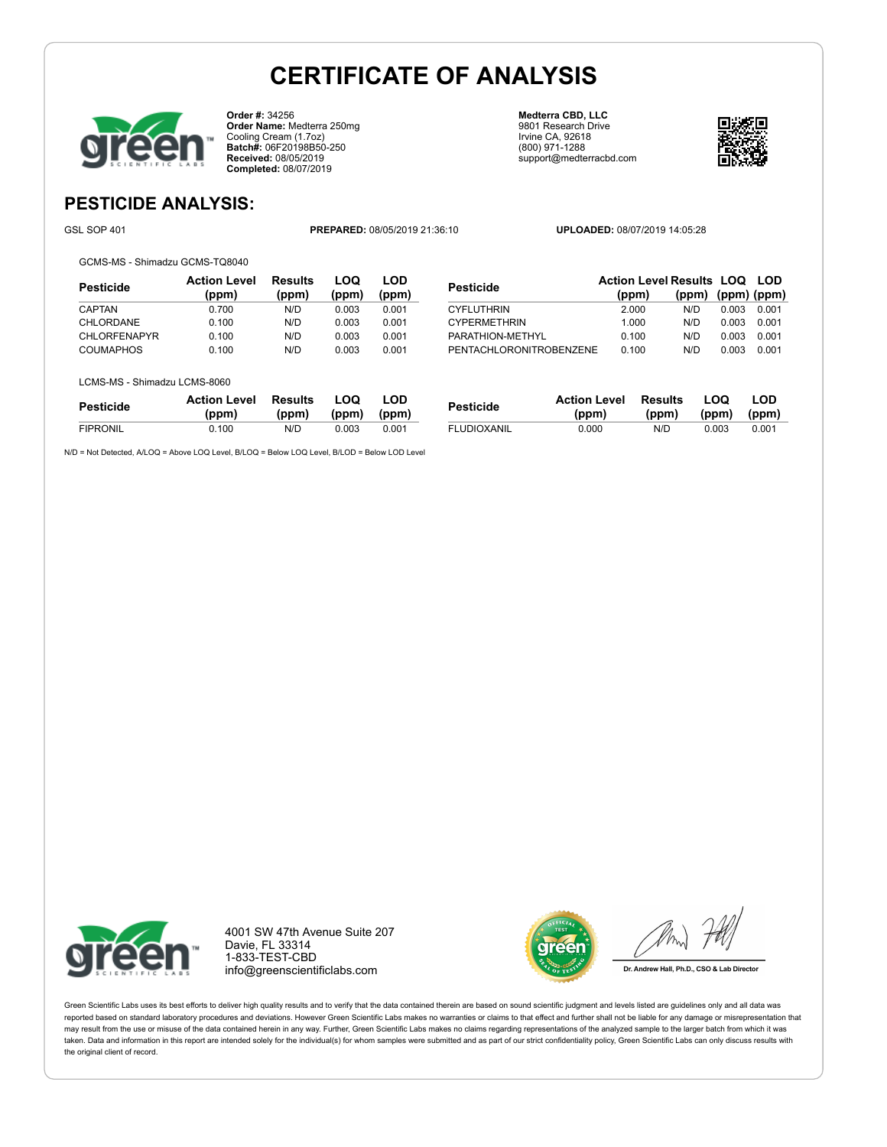

**Order #:** 34256 **Order Name:** Medterra 250mg Cooling Cream (1.7oz) **Batch#:** 06F20198B50-250 **Received:** 08/05/2019 **Completed:** 08/07/2019

**Medterra CBD, LLC** 9801 Research Drive Irvine CA, 92618 (800) 971-1288 support@medterracbd.com



**(ppm) (ppm) (ppm)**

### **PESTICIDE ANALYSIS:**

GSL SOP 401 **PREPARED:** 08/05/2019 21:36:10 **UPLOADED:** 08/07/2019 14:05:28

GCMS-MS - Shimadzu GCMS-TQ8040

| Pesticide           | <b>Action Level</b><br>(ppm) | <b>Results</b><br>(ppm) | LOQ<br>(ppm) | LOD<br>(ppm) |
|---------------------|------------------------------|-------------------------|--------------|--------------|
| CAPTAN              | 0.700                        | N/D                     | 0.003        | 0.001        |
| CHLORDANE           | 0.100                        | N/D                     | 0.003        | 0.001        |
| <b>CHLORFENAPYR</b> | 0.100                        | N/D                     | 0.003        | 0.001        |
| COUMAPHOS           | 0.100                        | N/D                     | 0.003        | 0.001        |

| LCMS-MS - Shimadzu LCMS-8060 |  |
|------------------------------|--|

| Pesticide       | <b>Action Level</b> | Results | LOO   | LOD   |
|-----------------|---------------------|---------|-------|-------|
|                 | (ppm)               | (ppm)   | (ppm) | (ppm) |
| <b>FIPRONIL</b> | 0.100               | N/D     | 0.003 | 0.001 |

N/D = Not Detected, A/LOQ = Above LOQ Level, B/LOQ = Below LOQ Level, B/LOD = Below LOD Level

| <b>CYPERMETHRIN</b>     | 1.000 | N/D  | 0.003 0.001 |  |
|-------------------------|-------|------|-------------|--|
| PARATHION-METHYL        | 0.100 | N/D  | 0.003 0.001 |  |
| PENTACHLORONITROBENZENE | 0.100 | N/D. | 0.003 0.001 |  |
|                         |       |      |             |  |
|                         |       |      |             |  |
|                         |       |      |             |  |

**Pesticide Action Level Results LOQ LOD (ppm)**

CYFLUTHRIN 2.000 N/D 0.003 0.001

| Pesticide          | <b>Action Level</b><br>(ppm) | Results<br>(ppm) | LOO<br>(ppm) (ppm) | LOD   |
|--------------------|------------------------------|------------------|--------------------|-------|
| <b>FLUDIOXANIL</b> | 0.000                        | N/D.             | 0.003              | 0.001 |



4001 SW 47th Avenue Suite 207 Davie, FL 33314 1-833-TEST-CBD info@greenscientificlabs.com



Dr. Andrew Hall, Ph.D., CSO & Lab Director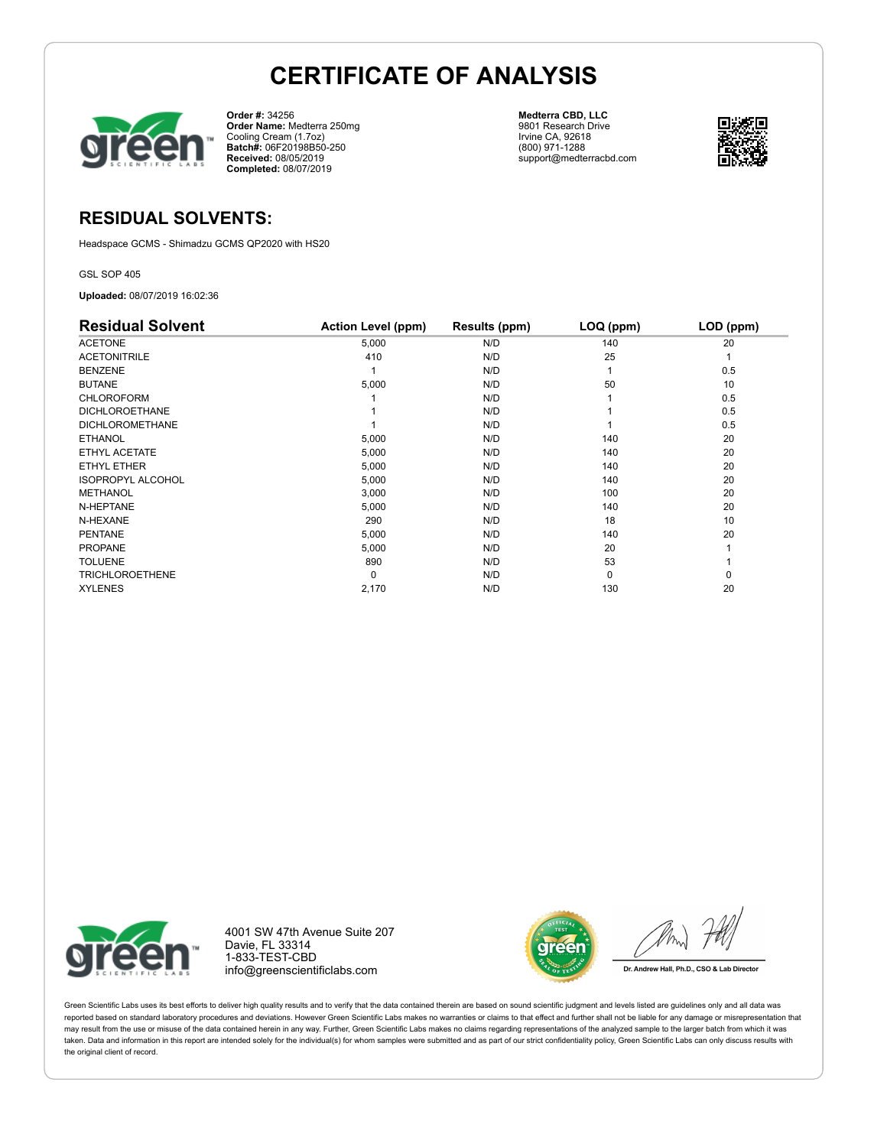

**Order #:** 34256 **Order Name:** Medterra 250mg Cooling Cream (1.7oz) **Batch#:** 06F20198B50-250 **Received:** 08/05/2019 **Completed:** 08/07/2019

**Medterra CBD, LLC** 9801 Research Drive Irvine CA, 92618 (800) 971-1288 support@medterracbd.com



### **RESIDUAL SOLVENTS:**

Headspace GCMS - Shimadzu GCMS QP2020 with HS20

GSL SOP 405

**Uploaded:** 08/07/2019 16:02:36

| <b>Residual Solvent</b>  | <b>Action Level (ppm)</b> | Results (ppm) | LOQ (ppm) | LOD (ppm) |
|--------------------------|---------------------------|---------------|-----------|-----------|
| <b>ACETONE</b>           | 5,000                     | N/D           | 140       | 20        |
| <b>ACETONITRILE</b>      | 410                       | N/D           | 25        |           |
| <b>BENZENE</b>           |                           | N/D           |           | 0.5       |
| <b>BUTANE</b>            | 5,000                     | N/D           | 50        | 10        |
| <b>CHLOROFORM</b>        |                           | N/D           |           | 0.5       |
| <b>DICHLOROETHANE</b>    |                           | N/D           |           | 0.5       |
| <b>DICHLOROMETHANE</b>   |                           | N/D           |           | 0.5       |
| <b>ETHANOL</b>           | 5,000                     | N/D           | 140       | 20        |
| ETHYL ACETATE            | 5,000                     | N/D           | 140       | 20        |
| ETHYL ETHER              | 5,000                     | N/D           | 140       | 20        |
| <b>ISOPROPYL ALCOHOL</b> | 5,000                     | N/D           | 140       | 20        |
| <b>METHANOL</b>          | 3,000                     | N/D           | 100       | 20        |
| N-HEPTANE                | 5,000                     | N/D           | 140       | 20        |
| N-HEXANE                 | 290                       | N/D           | 18        | 10        |
| <b>PENTANE</b>           | 5,000                     | N/D           | 140       | 20        |
| <b>PROPANE</b>           | 5,000                     | N/D           | 20        |           |
| <b>TOLUENE</b>           | 890                       | N/D           | 53        |           |
| <b>TRICHLOROETHENE</b>   | 0                         | N/D           | $\Omega$  | 0         |
| <b>XYLENES</b>           | 2,170                     | N/D           | 130       | 20        |



4001 SW 47th Avenue Suite 207 Davie, FL 33314 1-833-TEST-CBD info@greenscientificlabs.com



Dr. Andrew Hall, Ph.D., CSO & Lab Director